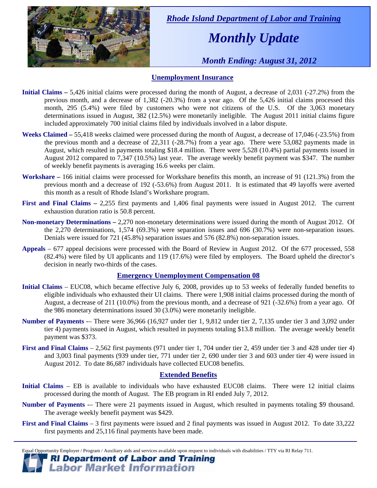

 *Rhode Island Department of Labor and Training* 

# *Monthly Update*

 *Month Ending: August 31, 2012* 

### **Unemployment Insurance**

- **Initial Claims** 5,426 initial claims were processed during the month of August, a decrease of 2,031 (-27.2%) from the previous month, and a decrease of 1,382 (-20.3%) from a year ago. Of the 5,426 initial claims processed this month, 295 (5.4%) were filed by customers who were not citizens of the U.S. Of the 3,063 monetary determinations issued in August, 382 (12.5%) were monetarily ineligible. The August 2011 initial claims figure included approximately 700 initial claims filed by individuals involved in a labor dispute.
- **Weeks Claimed** 55,418 weeks claimed were processed during the month of August, a decrease of 17,046 (-23.5%) from the previous month and a decrease of 22,311 (-28.7%) from a year ago. There were 53,082 payments made in August, which resulted in payments totaling \$18.4 million. There were 5,528 (10.4%) partial payments issued in August 2012 compared to 7,347 (10.5%) last year. The average weekly benefit payment was \$347. The number of weekly benefit payments is averaging 16.6 weeks per claim.
- **Workshare –** 166 initial claims were processed for Workshare benefits this month, an increase of 91 (121.3%) from the previous month and a decrease of 192 (-53.6%) from August 2011. It is estimated that 49 layoffs were averted this month as a result of Rhode Island's Workshare program.
- **First and Final Claims –** 2,255 first payments and 1,406 final payments were issued in August 2012. The current exhaustion duration ratio is 50.8 percent.
- **Non-monetary Determinations –** 2,270 non-monetary determinations were issued during the month of August 2012. Of the 2,270 determinations, 1,574 (69.3%) were separation issues and 696 (30.7%) were non-separation issues. Denials were issued for 721 (45.8%) separation issues and 576 (82.8%) non-separation issues.
- **Appeals** 677 appeal decisions were processed with the Board of Review in August 2012. Of the 677 processed, 558 (82.4%) were filed by UI applicants and 119 (17.6%) were filed by employers. The Board upheld the director's decision in nearly two-thirds of the cases.

#### **Emergency Unemployment Compensation 08**

- **Initial Claims**  EUC08, which became effective July 6, 2008, provides up to 53 weeks of federally funded benefits to eligible individuals who exhausted their UI claims. There were 1,908 initial claims processed during the month of August, a decrease of 211 (10.0%) from the previous month, and a decrease of 921 (-32.6%) from a year ago. Of the 986 monetary determinations issued 30 (3.0%) were monetarily ineligible.
- **Number of Payments** -– There were 36,966 (16,927 under tier 1, 9,812 under tier 2, 7,135 under tier 3 and 3,092 under tier 4) payments issued in August, which resulted in payments totaling \$13.8 million. The average weekly benefit payment was \$373.
- **First and Final Claims**  2,562 first payments (971 under tier 1, 704 under tier 2, 459 under tier 3 and 428 under tier 4) and 3,003 final payments (939 under tier, 771 under tier 2, 690 under tier 3 and 603 under tier 4) were issued in August 2012. To date 86,687 individuals have collected EUC08 benefits.

#### **Extended Benefits**

- **Initial Claims**  EB is available to individuals who have exhausted EUC08 claims. There were 12 initial claims processed during the month of August. The EB program in RI ended July 7, 2012.
- **Number of Payments —** There were 21 payments issued in August, which resulted in payments totaling \$9 thousand. The average weekly benefit payment was \$429.
- **First and Final Claims**  3 first payments were issued and 2 final payments was issued in August 2012. To date 33,222 first payments and 25,116 final payments have been made.

Equal Opportunity Employer / Program / Auxiliary aids and services available upon request to individuals with disabilities / TTY via RI Relay 711.

### **RI Department of Labor and Training Labor Market Information**